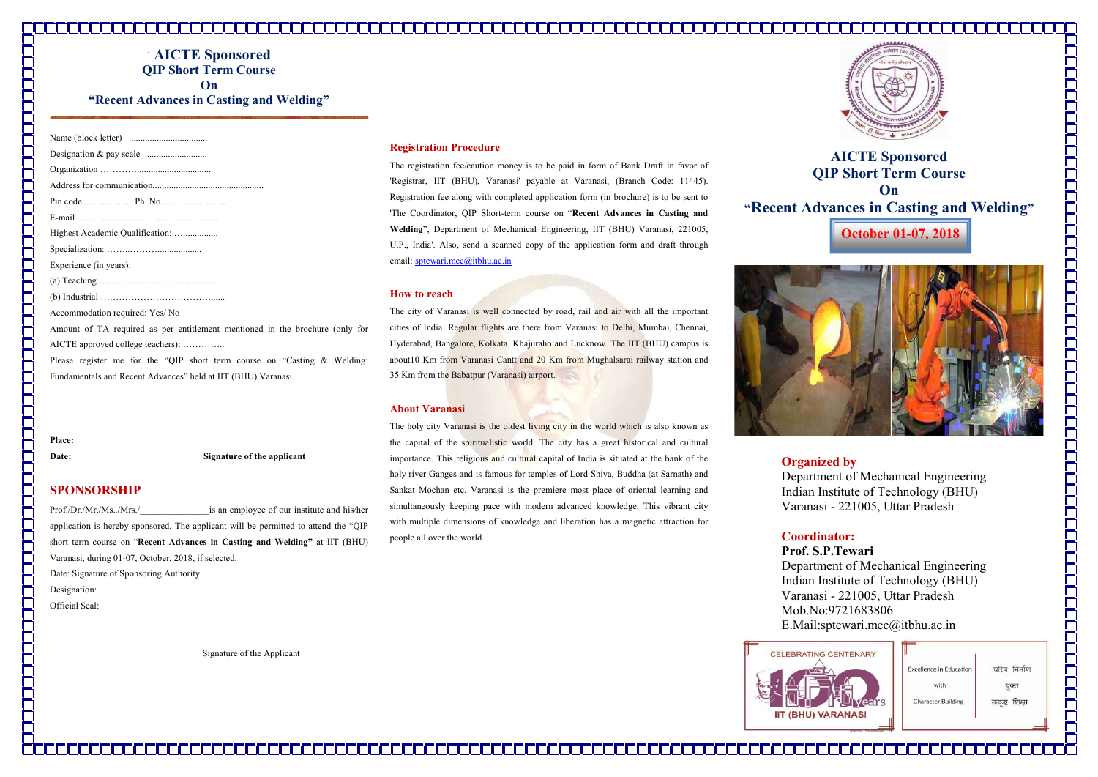# דר הרווח הרווח הרווח הרווח הרווח הרווח הרווח הרווח הרווח הרווח הרווח הרווח הרווח הרווח הרווח הרווח הרווח הרווח

| <b>AICTE</b> Sponsored                   |
|------------------------------------------|
| <b>OIP Short Term Course</b>             |
| $n_{\rm h}$                              |
| "Recent Advances in Casting and Welding" |

| Highest Academic Qualification:                                              |
|------------------------------------------------------------------------------|
|                                                                              |
| Experience (in years):                                                       |
|                                                                              |
|                                                                              |
| Accommodation required: Yes/ No                                              |
| Amount of TA required as per entitlement mentioned in the brochure (only for |
| AICTE approved college teachers):                                            |
| Please register me for the "QIP short term course on "Casting $\&$ Welding:  |
| Fundamentals and Recent Advances" held at IIT (BHU) Varanasi.                |

Place:

Date: Signature of the applicant

# SPONSORSHIP

Prof./Dr./Mr./Ms../Mrs./\_\_\_\_\_\_\_\_\_\_\_\_\_\_\_is an employee of our institute and his/her application is hereby sponsored. The applicant will be permitted to attend the "QIP short term course on "Recent Advances in Casting and Welding" at IIT (BHU) Varanasi, during 01-07, October, 2018, if selected. Date: Signature of Sponsoring Authority

The city of Varanasi is well connected by road, rail and air with all the important cities of India. Regular flights are there from Varanasi to Delhi, Mumbai, Chennai, Hyderabad, Bangalore, Kolkata, Khajuraho and Lucknow. The IIT (BHU) campus is about10 Km from Varanasi Cantt and 20 Km from Mughalsarai railway station and 35 Km from the Babatpur (Varanasi) airport.

Designation:

Official Seal:

П

Signature of the Applicant

# Registration Procedure

The holy city Varanasi is the oldest living city in the world which is also known as the capital of the spiritualistic world. The city has a great historical and cultural importance. This religious and cultural capital of India is situated at the bank of the holy river Ganges and is famous for temples of Lord Shiva, Buddha (at Sarnath) and Sankat Mochan etc. Varanasi is the premiere most place of oriental learning and simultaneously keeping pace with modern advanced knowledge. This vibrant city with multiple dimensions of knowledge and liberation has a magnetic attraction for people all over the world.



The registration fee/caution money is to be paid in form of Bank Draft in favor of 'Registrar, IIT (BHU), Varanasi' payable at Varanasi, (Branch Code: 11445). Registration fee along with completed application form (in brochure) is to be sent to 'The Coordinator, QIP Short-term course on "Recent Advances in Casting and Welding", Department of Mechanical Engineering, IIT (BHU) Varanasi, 221005, U.P., India'. Also, send a scanned copy of the application form and draft through email: sptewari.mec@itbhu.ac.in

### How to reach

## About Varanasi

# Organized by

Department of Mechanical Engineering Indian Institute of Technology (BHU) Varanasi - 221005, Uttar Pradesh



Coordinator: Prof. S.P.Tewari Department of Mechanical Engineering Indian Institute of Technology (BHU) Varanasi - 221005, Uttar Pradesh Mob.No:9721683806 E.Mail:sptewari.mec@itbhu.ac.in